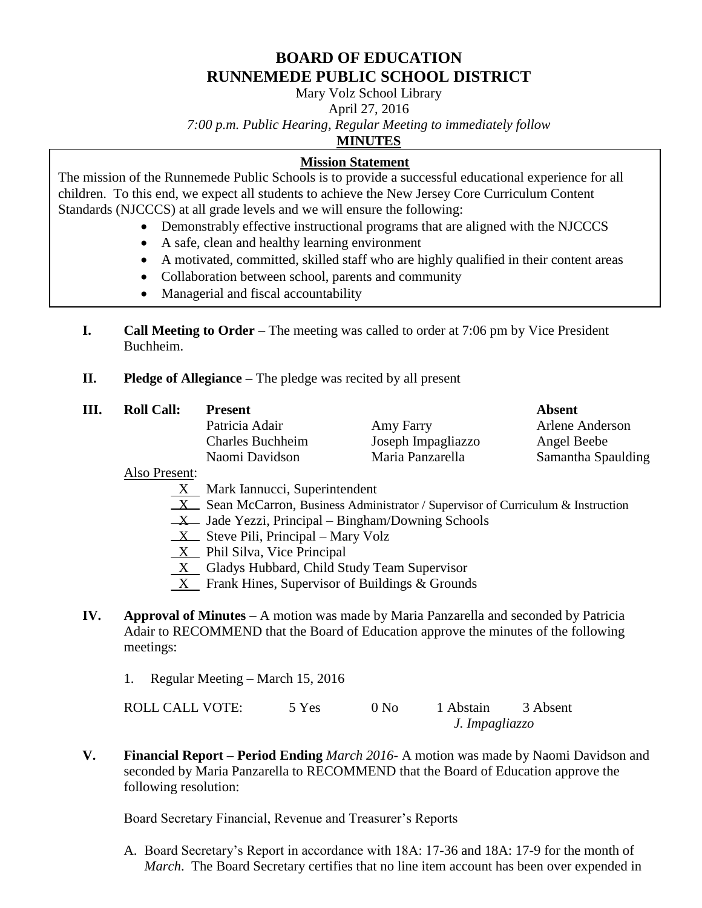# **BOARD OF EDUCATION RUNNEMEDE PUBLIC SCHOOL DISTRICT**

Mary Volz School Library

April 27, 2016

*7:00 p.m. Public Hearing, Regular Meeting to immediately follow*

**MINUTES**

## **Mission Statement**

The mission of the Runnemede Public Schools is to provide a successful educational experience for all children. To this end, we expect all students to achieve the New Jersey Core Curriculum Content Standards (NJCCCS) at all grade levels and we will ensure the following:

- Demonstrably effective instructional programs that are aligned with the NJCCCS
- A safe, clean and healthy learning environment
- A motivated, committed, skilled staff who are highly qualified in their content areas
- Collaboration between school, parents and community
- Managerial and fiscal accountability
- **I. Call Meeting to Order** The meeting was called to order at 7:06 pm by Vice President Buchheim.
- **II. Pledge of Allegiance –** The pledge was recited by all present

| Ш. | <b>Roll Call:</b> | <b>Present</b>          |                    | Absent             |
|----|-------------------|-------------------------|--------------------|--------------------|
|    |                   | Patricia Adair          | Amy Farry          | Arlene Anderson    |
|    |                   | <b>Charles Buchheim</b> | Joseph Impagliazzo | Angel Beebe        |
|    |                   | Naomi Davidson          | Maria Panzarella   | Samantha Spaulding |
|    |                   |                         |                    |                    |

Also Present:

- $X$  Mark Iannucci, Superintendent
- $X$  Sean McCarron, Business Administrator / Supervisor of Curriculum & Instruction
- $X$  Jade Yezzi, Principal Bingham/Downing Schools
- $X$  Steve Pili, Principal Mary Volz
- $X$  Phil Silva, Vice Principal
- X Gladys Hubbard, Child Study Team Supervisor
- X Frank Hines, Supervisor of Buildings & Grounds
- **IV. Approval of Minutes**  A motion was made by Maria Panzarella and seconded by Patricia Adair to RECOMMEND that the Board of Education approve the minutes of the following meetings:
	- 1. Regular Meeting March 15, 2016

ROLL CALL VOTE: 5 Yes 0 No 1 Abstain 3 Absent *J. Impagliazzo*

**V. Financial Report – Period Ending** *March 2016*- A motion was made by Naomi Davidson and seconded by Maria Panzarella to RECOMMEND that the Board of Education approve the following resolution:

Board Secretary Financial, Revenue and Treasurer's Reports

A. Board Secretary's Report in accordance with 18A: 17-36 and 18A: 17-9 for the month of *March*. The Board Secretary certifies that no line item account has been over expended in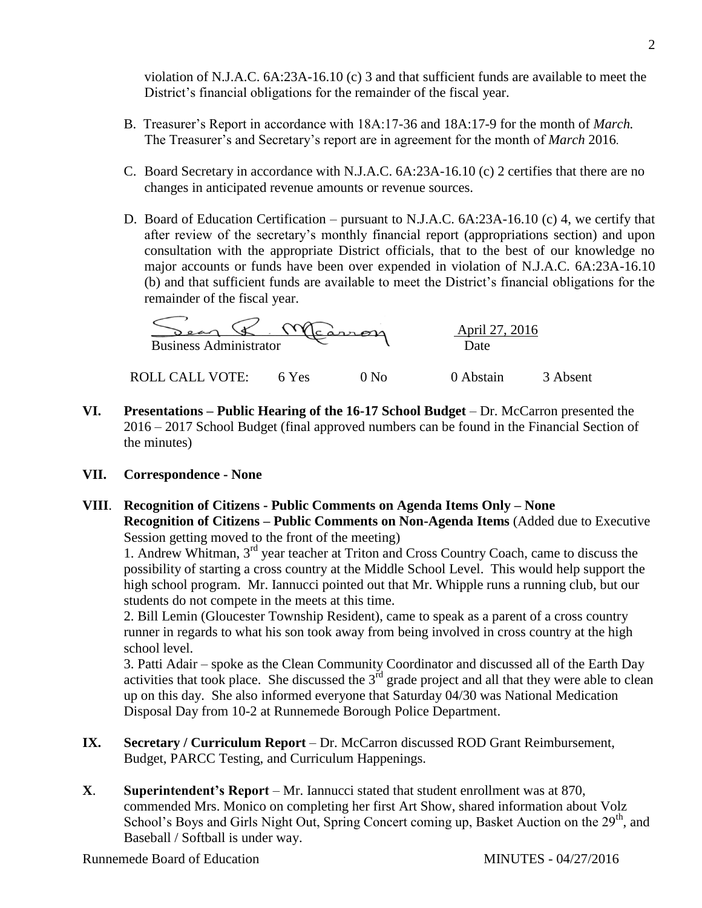violation of N.J.A.C. 6A:23A-16.10 (c) 3 and that sufficient funds are available to meet the District's financial obligations for the remainder of the fiscal year.

- B. Treasurer's Report in accordance with 18A:17-36 and 18A:17-9 for the month of *March.* The Treasurer's and Secretary's report are in agreement for the month of *March* 2016.
- C. Board Secretary in accordance with N.J.A.C. 6A:23A-16.10 (c) 2 certifies that there are no changes in anticipated revenue amounts or revenue sources.
- D. Board of Education Certification pursuant to N.J.A.C. 6A:23A-16.10 (c) 4, we certify that after review of the secretary's monthly financial report (appropriations section) and upon consultation with the appropriate District officials, that to the best of our knowledge no major accounts or funds have been over expended in violation of N.J.A.C. 6A:23A-16.10 (b) and that sufficient funds are available to meet the District's financial obligations for the remainder of the fiscal year.

 \_\_\_\_\_\_\_\_\_\_\_\_\_\_\_\_\_\_\_\_\_\_\_\_\_\_\_\_\_\_\_\_\_\_ April 27, 2016 Business Administrator Date

ROLL CALL VOTE: 6 Yes 0 No 0 Abstain 3 Absent

- **VI. Presentations – Public Hearing of the 16-17 School Budget** Dr. McCarron presented the 2016 – 2017 School Budget (final approved numbers can be found in the Financial Section of the minutes)
- **VII. Correspondence - None**
- **VIII**. **Recognition of Citizens - Public Comments on Agenda Items Only – None Recognition of Citizens – Public Comments on Non-Agenda Items** (Added due to Executive Session getting moved to the front of the meeting)

1. Andrew Whitman, 3rd year teacher at Triton and Cross Country Coach, came to discuss the possibility of starting a cross country at the Middle School Level. This would help support the high school program. Mr. Iannucci pointed out that Mr. Whipple runs a running club, but our students do not compete in the meets at this time.

2. Bill Lemin (Gloucester Township Resident), came to speak as a parent of a cross country runner in regards to what his son took away from being involved in cross country at the high school level.

3. Patti Adair – spoke as the Clean Community Coordinator and discussed all of the Earth Day activities that took place. She discussed the  $3<sup>rd</sup>$  grade project and all that they were able to clean up on this day. She also informed everyone that Saturday 04/30 was National Medication Disposal Day from 10-2 at Runnemede Borough Police Department.

- **IX. Secretary / Curriculum Report** *–* Dr. McCarron discussed ROD Grant Reimbursement, Budget, PARCC Testing, and Curriculum Happenings.
- **X**. **Superintendent's Report** Mr. Iannucci stated that student enrollment was at 870, commended Mrs. Monico on completing her first Art Show, shared information about Volz School's Boys and Girls Night Out, Spring Concert coming up, Basket Auction on the 29<sup>th</sup>, and Baseball / Softball is under way.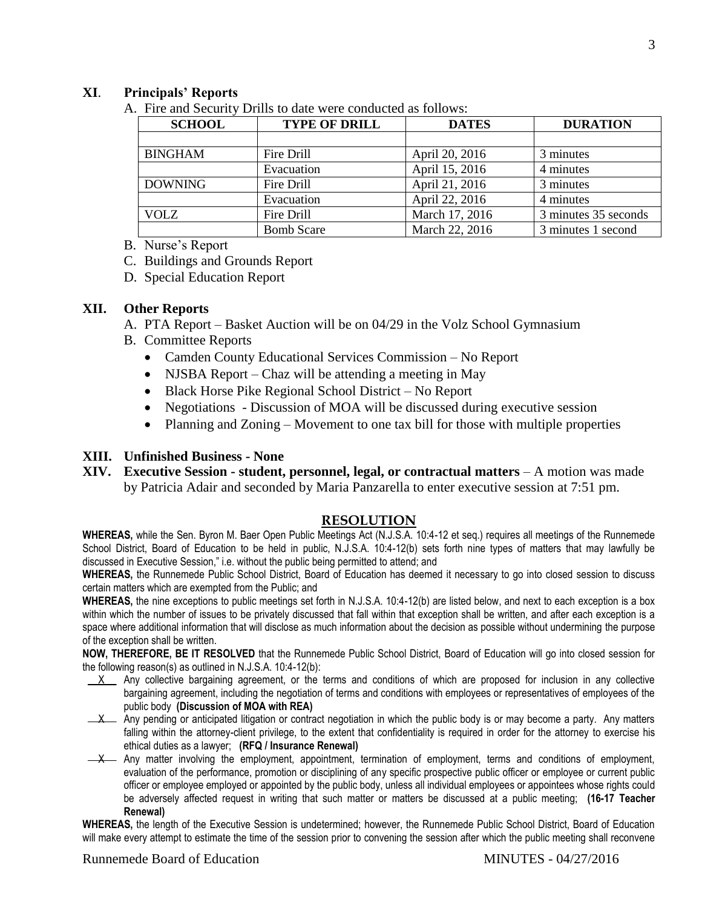## **XI**. **Principals' Reports**

A. Fire and Security Drills to date were conducted as follows:

| <b>SCHOOL</b>  | <b>TYPE OF DRILL</b> | <b>DATES</b>   | <b>DURATION</b>      |
|----------------|----------------------|----------------|----------------------|
|                |                      |                |                      |
| <b>BINGHAM</b> | Fire Drill           | April 20, 2016 | 3 minutes            |
|                | Evacuation           | April 15, 2016 | 4 minutes            |
| <b>DOWNING</b> | Fire Drill           | April 21, 2016 | 3 minutes            |
|                | Evacuation           | April 22, 2016 | 4 minutes            |
| <b>VOLZ</b>    | Fire Drill           | March 17, 2016 | 3 minutes 35 seconds |
|                | <b>Bomb Scare</b>    | March 22, 2016 | 3 minutes 1 second   |

B. Nurse's Report

C. Buildings and Grounds Report

D. Special Education Report

#### **XII. Other Reports**

A. PTA Report – Basket Auction will be on 04/29 in the Volz School Gymnasium

- B. Committee Reports
	- Camden County Educational Services Commission No Report
	- NJSBA Report Chaz will be attending a meeting in May
	- Black Horse Pike Regional School District No Report
	- Negotiations Discussion of MOA will be discussed during executive session
	- Planning and Zoning Movement to one tax bill for those with multiple properties

## **XIII. Unfinished Business - None**

**XIV. Executive Session - student, personnel, legal, or contractual matters** – A motion was made by Patricia Adair and seconded by Maria Panzarella to enter executive session at 7:51 pm.

#### **RESOLUTION**

**WHEREAS,** while the Sen. Byron M. Baer Open Public Meetings Act (N.J.S.A. 10:4-12 et seq.) requires all meetings of the Runnemede School District, Board of Education to be held in public, N.J.S.A. 10:4-12(b) sets forth nine types of matters that may lawfully be discussed in Executive Session," i.e. without the public being permitted to attend; and

**WHEREAS,** the Runnemede Public School District, Board of Education has deemed it necessary to go into closed session to discuss certain matters which are exempted from the Public; and

**WHEREAS,** the nine exceptions to public meetings set forth in N.J.S.A. 10:4-12(b) are listed below, and next to each exception is a box within which the number of issues to be privately discussed that fall within that exception shall be written, and after each exception is a space where additional information that will disclose as much information about the decision as possible without undermining the purpose of the exception shall be written.

**NOW, THEREFORE, BE IT RESOLVED** that the Runnemede Public School District, Board of Education will go into closed session for the following reason(s) as outlined in N.J.S.A. 10:4-12(b):

- $X$  Any collective bargaining agreement, or the terms and conditions of which are proposed for inclusion in any collective bargaining agreement, including the negotiation of terms and conditions with employees or representatives of employees of the public body **(Discussion of MOA with REA)**
- $\frac{X}{X}$  Any pending or anticipated litigation or contract negotiation in which the public body is or may become a party. Any matters falling within the attorney-client privilege, to the extent that confidentiality is required in order for the attorney to exercise his ethical duties as a lawyer; **(RFQ / Insurance Renewal)**
- -X Any matter involving the employment, appointment, termination of employment, terms and conditions of employment, evaluation of the performance, promotion or disciplining of any specific prospective public officer or employee or current public officer or employee employed or appointed by the public body, unless all individual employees or appointees whose rights could be adversely affected request in writing that such matter or matters be discussed at a public meeting; **(16-17 Teacher Renewal)**

**WHEREAS,** the length of the Executive Session is undetermined; however, the Runnemede Public School District, Board of Education will make every attempt to estimate the time of the session prior to convening the session after which the public meeting shall reconvene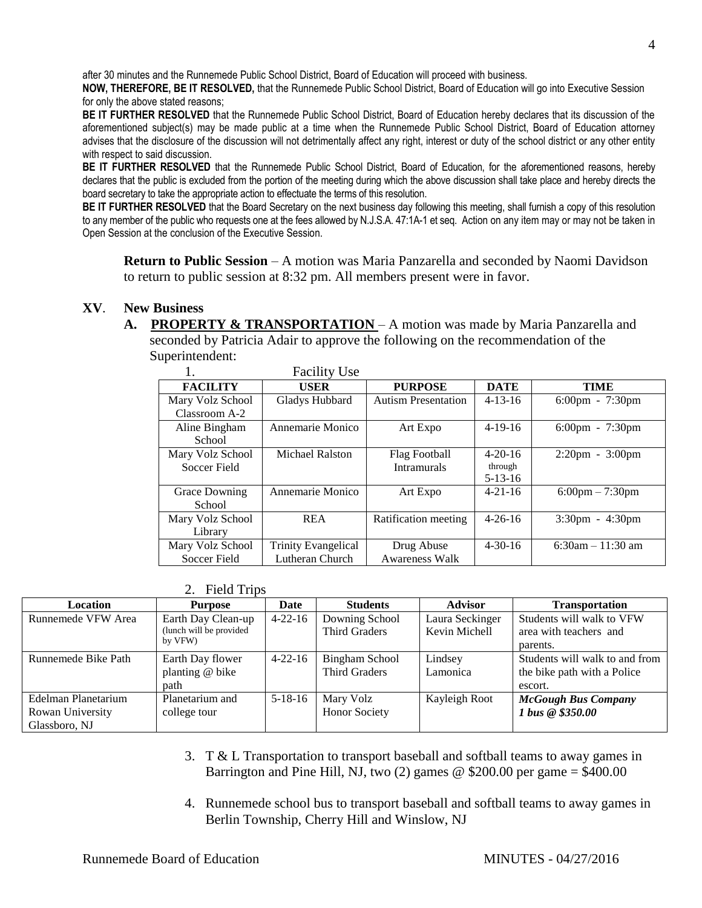after 30 minutes and the Runnemede Public School District, Board of Education will proceed with business.

**NOW, THEREFORE, BE IT RESOLVED,** that the Runnemede Public School District, Board of Education will go into Executive Session for only the above stated reasons;

**BE IT FURTHER RESOLVED** that the Runnemede Public School District, Board of Education hereby declares that its discussion of the aforementioned subject(s) may be made public at a time when the Runnemede Public School District, Board of Education attorney advises that the disclosure of the discussion will not detrimentally affect any right, interest or duty of the school district or any other entity with respect to said discussion.

**BE IT FURTHER RESOLVED** that the Runnemede Public School District, Board of Education, for the aforementioned reasons, hereby declares that the public is excluded from the portion of the meeting during which the above discussion shall take place and hereby directs the board secretary to take the appropriate action to effectuate the terms of this resolution.

**BE IT FURTHER RESOLVED** that the Board Secretary on the next business day following this meeting, shall furnish a copy of this resolution to any member of the public who requests one at the fees allowed by N.J.S.A. 47:1A-1 et seq. Action on any item may or may not be taken in Open Session at the conclusion of the Executive Session.

**Return to Public Session** – A motion was Maria Panzarella and seconded by Naomi Davidson to return to public session at 8:32 pm. All members present were in favor.

## **XV**. **New Business**

**A. PROPERTY & TRANSPORTATION** – A motion was made by Maria Panzarella and seconded by Patricia Adair to approve the following on the recommendation of the Superintendent:

|                      | <b>Facility Use</b>        |                            |               |                                   |
|----------------------|----------------------------|----------------------------|---------------|-----------------------------------|
| <b>FACILITY</b>      | <b>USER</b>                | <b>PURPOSE</b>             | <b>DATE</b>   | <b>TIME</b>                       |
| Mary Volz School     | Gladys Hubbard             | <b>Autism Presentation</b> | $4 - 13 - 16$ | $6:00 \text{pm} - 7:30 \text{pm}$ |
| Classroom A-2        |                            |                            |               |                                   |
| Aline Bingham        | Annemarie Monico           | Art Expo                   | $4-19-16$     | $6:00 \text{pm} - 7:30 \text{pm}$ |
| School               |                            |                            |               |                                   |
| Mary Volz School     | <b>Michael Ralston</b>     | Flag Football              | $4 - 20 - 16$ | $2:20 \text{pm} - 3:00 \text{pm}$ |
| Soccer Field         |                            | <b>Intramurals</b>         | through       |                                   |
|                      |                            |                            | $5-13-16$     |                                   |
| <b>Grace Downing</b> | Annemarie Monico           | Art Expo                   | $4 - 21 - 16$ | $6:00 \text{pm} - 7:30 \text{pm}$ |
| School               |                            |                            |               |                                   |
| Mary Volz School     | <b>REA</b>                 | Ratification meeting       | $4 - 26 - 16$ | $3:30 \text{pm} - 4:30 \text{pm}$ |
| Library              |                            |                            |               |                                   |
| Mary Volz School     | <b>Trinity Evangelical</b> | Drug Abuse                 | $4 - 30 - 16$ | $6:30$ am $-11:30$ am             |
| Soccer Field         | Lutheran Church            | <b>Awareness Walk</b>      |               |                                   |

#### 2. Field Trips

| Location            | <b>Purpose</b>                                | Date          | <b>Students</b>                 | <b>Advisor</b>                   | <b>Transportation</b>                               |
|---------------------|-----------------------------------------------|---------------|---------------------------------|----------------------------------|-----------------------------------------------------|
| Runnemede VFW Area  | Earth Day Clean-up<br>(lunch will be provided | $4 - 22 - 16$ | Downing School<br>Third Graders | Laura Seckinger<br>Kevin Michell | Students will walk to VFW<br>area with teachers and |
|                     | by VFW)                                       |               |                                 |                                  | parents.                                            |
| Runnemede Bike Path | Earth Day flower                              | $4 - 22 - 16$ | <b>Bingham School</b>           | Lindsey                          | Students will walk to and from                      |
|                     | planting @ bike                               |               | Third Graders                   | Lamonica                         | the bike path with a Police                         |
|                     | path                                          |               |                                 |                                  | escort.                                             |
| Edelman Planetarium | Planetarium and                               | $5 - 18 - 16$ | Mary Volz                       | Kayleigh Root                    | <b>McGough Bus Company</b>                          |
| Rowan University    | college tour                                  |               | Honor Society                   |                                  | 1 bus @ \$350.00                                    |
| Glassboro, NJ       |                                               |               |                                 |                                  |                                                     |

- 3. T & L Transportation to transport baseball and softball teams to away games in Barrington and Pine Hill, NJ, two (2) games  $\omega$  \$200.00 per game = \$400.00
- 4. Runnemede school bus to transport baseball and softball teams to away games in Berlin Township, Cherry Hill and Winslow, NJ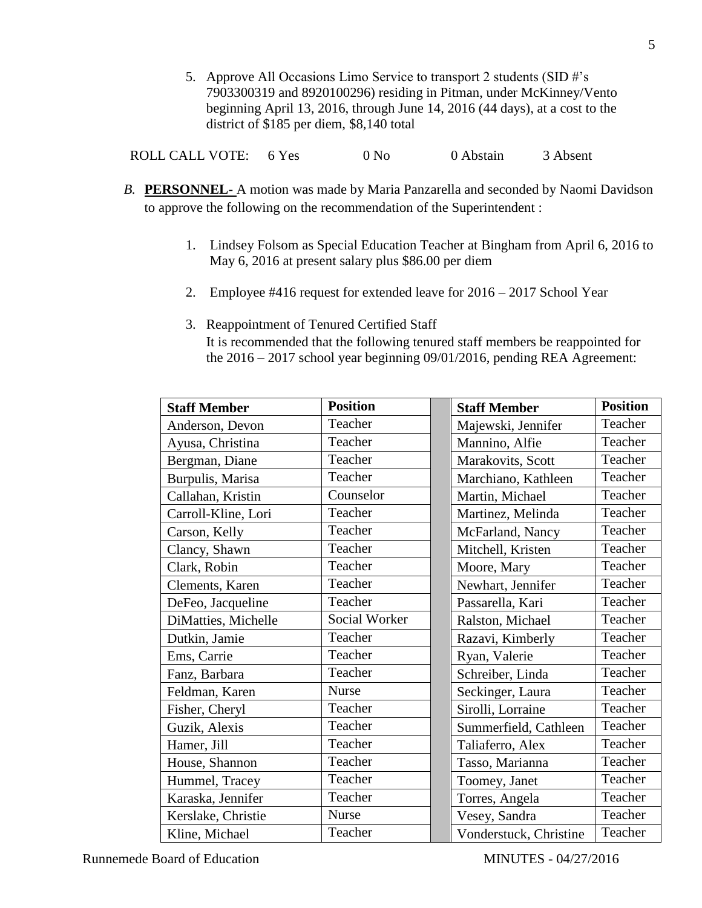5. Approve All Occasions Limo Service to transport 2 students (SID #'s 7903300319 and 8920100296) residing in Pitman, under McKinney/Vento beginning April 13, 2016, through June 14, 2016 (44 days), at a cost to the district of \$185 per diem, \$8,140 total

ROLL CALL VOTE: 6 Yes 0 No 0 Abstain 3 Absent

- *B.* **PERSONNEL-** A motion was made by Maria Panzarella and seconded by Naomi Davidson to approve the following on the recommendation of the Superintendent :
	- 1. Lindsey Folsom as Special Education Teacher at Bingham from April 6, 2016 to May 6, 2016 at present salary plus \$86.00 per diem
	- 2. Employee #416 request for extended leave for 2016 2017 School Year
	- 3. Reappointment of Tenured Certified Staff It is recommended that the following tenured staff members be reappointed for the 2016 – 2017 school year beginning 09/01/2016, pending REA Agreement:

| <b>Staff Member</b> | <b>Position</b> | <b>Staff Member</b>    | <b>Position</b> |
|---------------------|-----------------|------------------------|-----------------|
| Anderson, Devon     | Teacher         | Majewski, Jennifer     | Teacher         |
| Ayusa, Christina    | Teacher         | Mannino, Alfie         | Teacher         |
| Bergman, Diane      | Teacher         | Marakovits, Scott      | Teacher         |
| Burpulis, Marisa    | Teacher         | Marchiano, Kathleen    | Teacher         |
| Callahan, Kristin   | Counselor       | Martin, Michael        | Teacher         |
| Carroll-Kline, Lori | Teacher         | Martinez, Melinda      | Teacher         |
| Carson, Kelly       | Teacher         | McFarland, Nancy       | Teacher         |
| Clancy, Shawn       | Teacher         | Mitchell, Kristen      | Teacher         |
| Clark, Robin        | Teacher         | Moore, Mary            | Teacher         |
| Clements, Karen     | Teacher         | Newhart, Jennifer      | Teacher         |
| DeFeo, Jacqueline   | Teacher         | Passarella, Kari       | Teacher         |
| DiMatties, Michelle | Social Worker   | Ralston, Michael       | Teacher         |
| Dutkin, Jamie       | Teacher         | Razavi, Kimberly       | Teacher         |
| Ems, Carrie         | Teacher         | Ryan, Valerie          | Teacher         |
| Fanz, Barbara       | Teacher         | Schreiber, Linda       | Teacher         |
| Feldman, Karen      | <b>Nurse</b>    | Seckinger, Laura       | Teacher         |
| Fisher, Cheryl      | Teacher         | Sirolli, Lorraine      | Teacher         |
| Guzik, Alexis       | Teacher         | Summerfield, Cathleen  | Teacher         |
| Hamer, Jill         | Teacher         | Taliaferro, Alex       | Teacher         |
| House, Shannon      | Teacher         | Tasso, Marianna        | Teacher         |
| Hummel, Tracey      | Teacher         | Toomey, Janet          | Teacher         |
| Karaska, Jennifer   | Teacher         | Torres, Angela         | Teacher         |
| Kerslake, Christie  | Nurse           | Vesey, Sandra          | Teacher         |
| Kline, Michael      | Teacher         | Vonderstuck, Christine | Teacher         |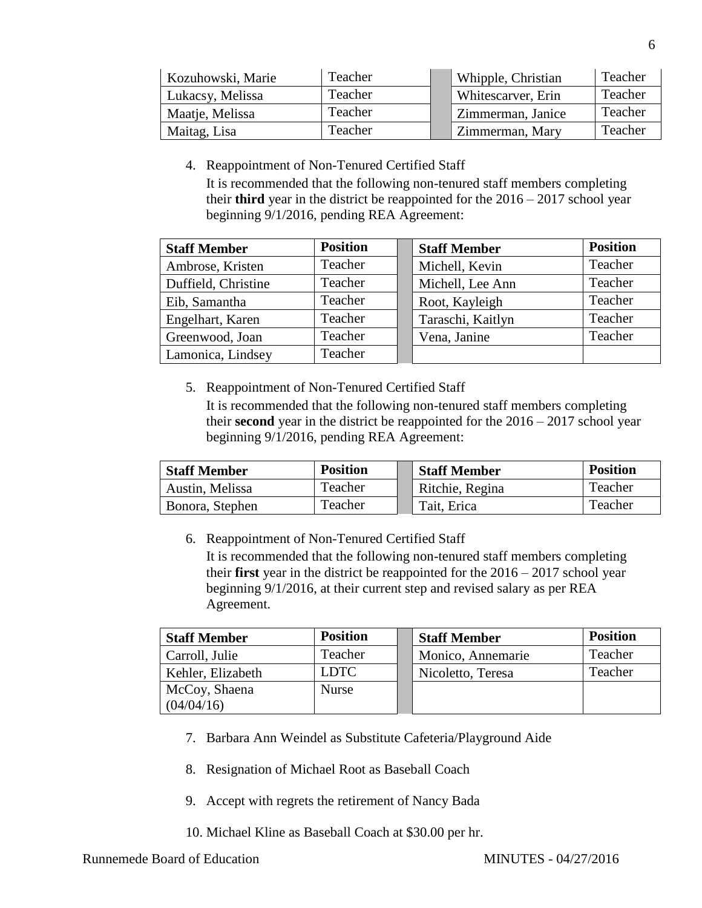| Kozuhowski, Marie | Teacher | Whipple, Christian | Teacher |
|-------------------|---------|--------------------|---------|
| Lukacsy, Melissa  | Teacher | Whitescarver, Erin | Teacher |
| Maatje, Melissa   | Teacher | Zimmerman, Janice  | Teacher |
| Maitag, Lisa      | Teacher | Zimmerman, Mary    | Teacher |

4. Reappointment of Non-Tenured Certified Staff

It is recommended that the following non-tenured staff members completing their **third** year in the district be reappointed for the 2016 – 2017 school year beginning 9/1/2016, pending REA Agreement:

| <b>Staff Member</b> | <b>Position</b> | <b>Staff Member</b> | <b>Position</b> |
|---------------------|-----------------|---------------------|-----------------|
| Ambrose, Kristen    | Teacher         | Michell, Kevin      | Teacher         |
| Duffield, Christine | Teacher         | Michell, Lee Ann    | Teacher         |
| Eib, Samantha       | Teacher         | Root, Kayleigh      | Teacher         |
| Engelhart, Karen    | Teacher         | Taraschi, Kaitlyn   | Teacher         |
| Greenwood, Joan     | Teacher         | Vena, Janine        | Teacher         |
| Lamonica, Lindsey   | Teacher         |                     |                 |

5. Reappointment of Non-Tenured Certified Staff

It is recommended that the following non-tenured staff members completing their **second** year in the district be reappointed for the 2016 – 2017 school year beginning 9/1/2016, pending REA Agreement:

| <b>Staff Member</b> | <b>Position</b> | <b>Staff Member</b> | <b>Position</b> |
|---------------------|-----------------|---------------------|-----------------|
| Austin, Melissa     | Teacher         | Ritchie, Regina     | Teacher         |
| Bonora, Stephen     | Teacher         | Tait, Erica         | Teacher         |

6. Reappointment of Non-Tenured Certified Staff

It is recommended that the following non-tenured staff members completing their **first** year in the district be reappointed for the 2016 – 2017 school year beginning 9/1/2016, at their current step and revised salary as per REA Agreement.

| <b>Staff Member</b> | <b>Position</b> | <b>Staff Member</b> | <b>Position</b> |
|---------------------|-----------------|---------------------|-----------------|
| Carroll, Julie      | Teacher         | Monico, Annemarie   | Teacher         |
| Kehler, Elizabeth   | <b>LDTC</b>     | Nicoletto, Teresa   | Teacher         |
| McCoy, Shaena       | Nurse           |                     |                 |
| (04/04/16)          |                 |                     |                 |

- 7. Barbara Ann Weindel as Substitute Cafeteria/Playground Aide
- 8. Resignation of Michael Root as Baseball Coach
- 9. Accept with regrets the retirement of Nancy Bada
- 10. Michael Kline as Baseball Coach at \$30.00 per hr.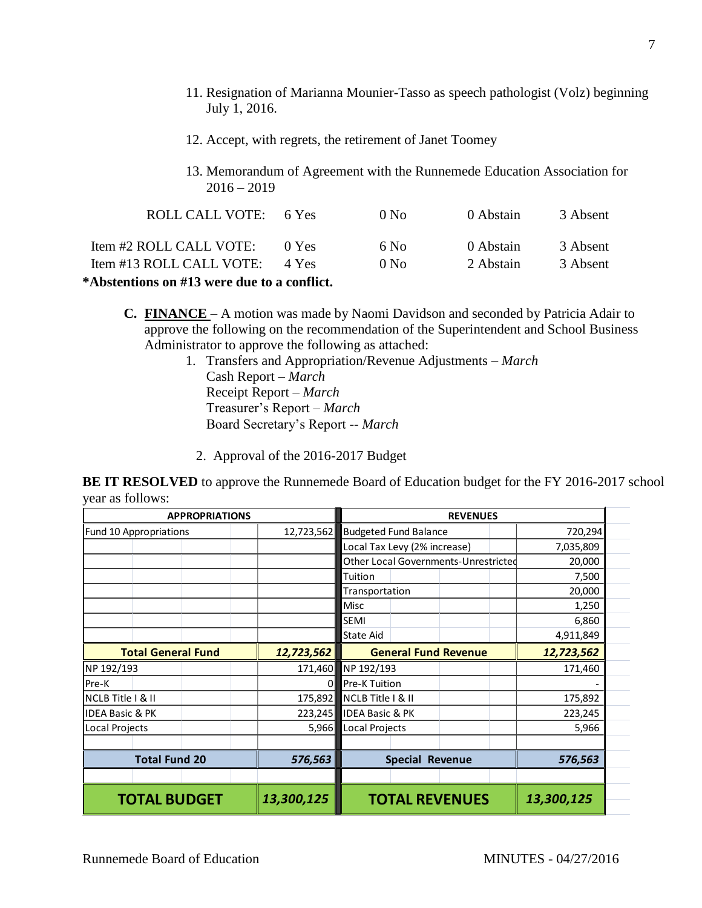- 11. Resignation of Marianna Mounier-Tasso as speech pathologist (Volz) beginning July 1, 2016.
- 12. Accept, with regrets, the retirement of Janet Toomey
- 13. Memorandum of Agreement with the Runnemede Education Association for  $2016 - 2019$

| ROLL CALL VOTE: 6 Yes    |       | 0 N <sub>0</sub> | 0 Abstain | 3 Absent |
|--------------------------|-------|------------------|-----------|----------|
| Item #2 ROLL CALL VOTE:  | 0 Yes | 6 No             | 0 Abstain | 3 Absent |
| Item #13 ROLL CALL VOTE: | 4 Yes | 0 N <sub>0</sub> | 2 Abstain | 3 Absent |
|                          |       |                  |           |          |

**\*Abstentions on #13 were due to a conflict.**

**C. FINANCE** – A motion was made by Naomi Davidson and seconded by Patricia Adair to approve the following on the recommendation of the Superintendent and School Business Administrator to approve the following as attached:

- 1. Transfers and Appropriation/Revenue Adjustments *March* Cash Report – *March* Receipt Report – *March* Treasurer's Report – *March* Board Secretary's Report -- *March*
	- 2. Approval of the 2016-2017 Budget

**BE IT RESOLVED** to approve the Runnemede Board of Education budget for the FY 2016-2017 school year as follows:

| <b>APPROPRIATIONS</b>                   |            | <b>REVENUES</b>                      |            |  |  |
|-----------------------------------------|------------|--------------------------------------|------------|--|--|
| Fund 10 Appropriations                  | 12,723,562 | <b>Budgeted Fund Balance</b>         | 720,294    |  |  |
|                                         |            | Local Tax Levy (2% increase)         | 7,035,809  |  |  |
|                                         |            | Other Local Governments-Unrestricted | 20,000     |  |  |
|                                         |            | Tuition                              | 7,500      |  |  |
|                                         |            | Transportation                       | 20,000     |  |  |
|                                         |            | Misc                                 | 1,250      |  |  |
|                                         |            | SEMI                                 | 6,860      |  |  |
|                                         |            | <b>State Aid</b>                     | 4,911,849  |  |  |
| <b>Total General Fund</b><br>12,723,562 |            | <b>General Fund Revenue</b>          | 12,723,562 |  |  |
| NP 192/193                              | 171,460    | NP 192/193                           | 171,460    |  |  |
| Pre-K                                   | 0          | Pre-K Tuition                        |            |  |  |
| NCLB Title   & II                       | 175,892    | NCLB Title   & II                    | 175,892    |  |  |
| <b>IDEA Basic &amp; PK</b>              | 223,245    | <b>IDEA Basic &amp; PK</b>           | 223,245    |  |  |
| Local Projects                          | 5,966      | Local Projects                       | 5,966      |  |  |
|                                         |            |                                      |            |  |  |
| <b>Total Fund 20</b>                    | 576,563    | <b>Special Revenue</b>               | 576,563    |  |  |
|                                         |            |                                      |            |  |  |
| <b>TOTAL BUDGET</b>                     | 13,300,125 | <b>TOTAL REVENUES</b>                | 13,300,125 |  |  |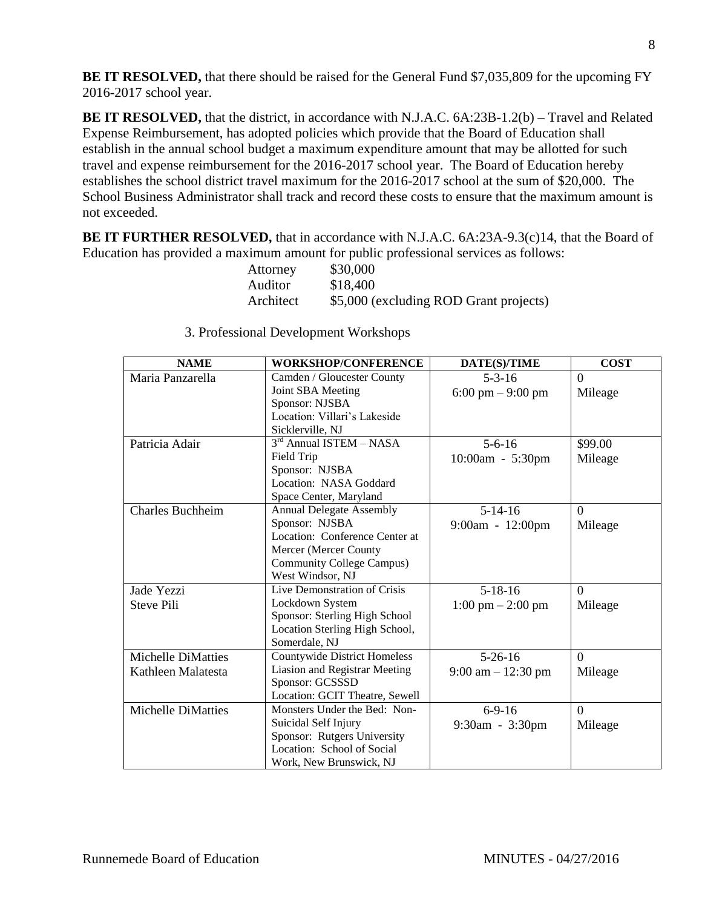**BE IT RESOLVED,** that there should be raised for the General Fund \$7,035,809 for the upcoming FY 2016-2017 school year.

**BE IT RESOLVED,** that the district, in accordance with N.J.A.C. 6A:23B-1.2(b) – Travel and Related Expense Reimbursement, has adopted policies which provide that the Board of Education shall establish in the annual school budget a maximum expenditure amount that may be allotted for such travel and expense reimbursement for the 2016-2017 school year. The Board of Education hereby establishes the school district travel maximum for the 2016-2017 school at the sum of \$20,000. The School Business Administrator shall track and record these costs to ensure that the maximum amount is not exceeded.

**BE IT FURTHER RESOLVED,** that in accordance with N.J.A.C. 6A:23A-9.3(c)14, that the Board of Education has provided a maximum amount for public professional services as follows:

| Attorney  | \$30,000                               |
|-----------|----------------------------------------|
| Auditor   | \$18,400                               |
| Architect | \$5,000 (excluding ROD Grant projects) |

| <b>NAME</b>               | <b>WORKSHOP/CONFERENCE</b>       | DATE(S)/TIME                         | <b>COST</b> |
|---------------------------|----------------------------------|--------------------------------------|-------------|
| Maria Panzarella          | Camden / Gloucester County       | $5 - 3 - 16$                         | $\Omega$    |
|                           | Joint SBA Meeting                | $6:00 \text{ pm} - 9:00 \text{ pm}$  | Mileage     |
|                           | Sponsor: NJSBA                   |                                      |             |
|                           | Location: Villari's Lakeside     |                                      |             |
|                           | Sicklerville, NJ                 |                                      |             |
| Patricia Adair            | $3rd$ Annual ISTEM – NASA        | $5 - 6 - 16$                         | \$99.00     |
|                           | Field Trip                       | 10:00am - 5:30pm                     | Mileage     |
|                           | Sponsor: NJSBA                   |                                      |             |
|                           | Location: NASA Goddard           |                                      |             |
|                           | Space Center, Maryland           |                                      |             |
| Charles Buchheim          | <b>Annual Delegate Assembly</b>  | $5-14-16$                            | $\Omega$    |
|                           | Sponsor: NJSBA                   | $9:00am - 12:00pm$                   | Mileage     |
|                           | Location: Conference Center at   |                                      |             |
|                           | Mercer (Mercer County            |                                      |             |
|                           | <b>Community College Campus)</b> |                                      |             |
|                           | West Windsor, NJ                 |                                      |             |
| Jade Yezzi                | Live Demonstration of Crisis     | $5-18-16$                            | $\Omega$    |
| Steve Pili                | Lockdown System                  | $1:00 \text{ pm} - 2:00 \text{ pm}$  | Mileage     |
|                           | Sponsor: Sterling High School    |                                      |             |
|                           | Location Sterling High School,   |                                      |             |
|                           | Somerdale, NJ                    |                                      |             |
| Michelle DiMatties        | Countywide District Homeless     | $5 - 26 - 16$                        | $\Omega$    |
| Kathleen Malatesta        | Liasion and Registrar Meeting    | $9:00 \text{ am} - 12:30 \text{ pm}$ | Mileage     |
|                           | Sponsor: GCSSSD                  |                                      |             |
|                           | Location: GCIT Theatre, Sewell   |                                      |             |
| <b>Michelle DiMatties</b> | Monsters Under the Bed: Non-     | $6-9-16$                             | $\Omega$    |
|                           | Suicidal Self Injury             | 9:30am - 3:30pm                      | Mileage     |
|                           | Sponsor: Rutgers University      |                                      |             |
|                           | Location: School of Social       |                                      |             |
|                           | Work, New Brunswick, NJ          |                                      |             |

3. Professional Development Workshops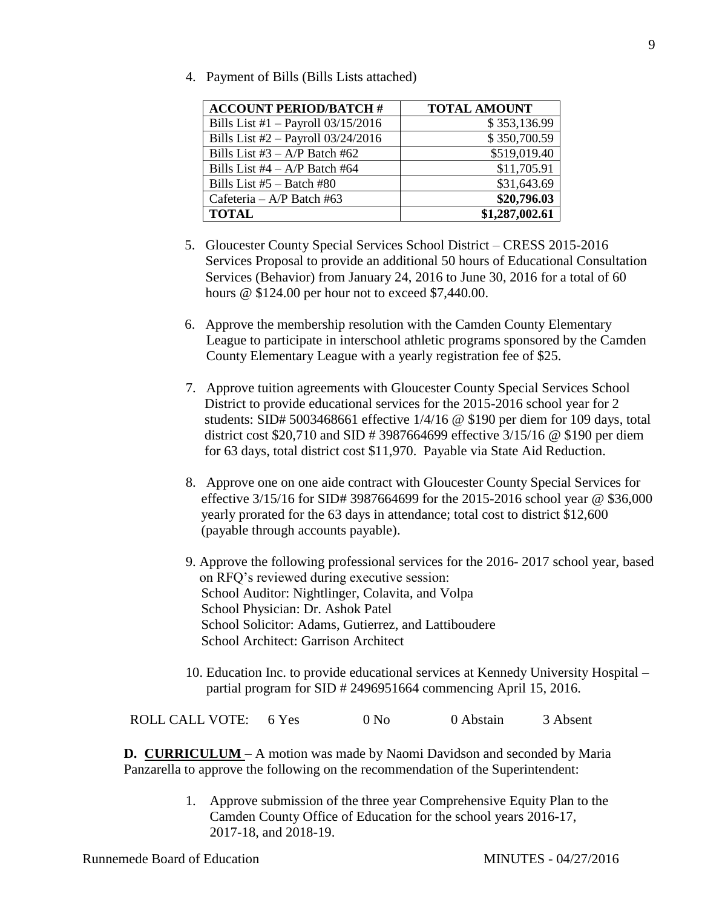4. Payment of Bills (Bills Lists attached)

| <b>ACCOUNT PERIOD/BATCH #</b>        | <b>TOTAL AMOUNT</b> |  |
|--------------------------------------|---------------------|--|
| Bills List #1 $-$ Payroll 03/15/2016 | \$353,136.99        |  |
| Bills List #2 - Payroll 03/24/2016   | \$350,700.59        |  |
| Bills List $#3 - A/P$ Batch $#62$    | \$519,019.40        |  |
| Bills List $#4 - A/P$ Batch $#64$    | \$11,705.91         |  |
| Bills List $#5 -$ Batch $#80$        | \$31,643.69         |  |
| Cafeteria – A/P Batch #63            | \$20,796.03         |  |
| <b>TOTAL</b>                         | \$1,287,002.61      |  |

- 5. Gloucester County Special Services School District CRESS 2015-2016 Services Proposal to provide an additional 50 hours of Educational Consultation Services (Behavior) from January 24, 2016 to June 30, 2016 for a total of 60 hours @ \$124.00 per hour not to exceed \$7,440.00.
- 6. Approve the membership resolution with the Camden County Elementary League to participate in interschool athletic programs sponsored by the Camden County Elementary League with a yearly registration fee of \$25.
- 7. Approve tuition agreements with Gloucester County Special Services School District to provide educational services for the 2015-2016 school year for 2 students: SID# 5003468661 effective 1/4/16 @ \$190 per diem for 109 days, total district cost \$20,710 and SID # 3987664699 effective 3/15/16 @ \$190 per diem for 63 days, total district cost \$11,970. Payable via State Aid Reduction.
- 8. Approve one on one aide contract with Gloucester County Special Services for effective 3/15/16 for SID# 3987664699 for the 2015-2016 school year @ \$36,000 yearly prorated for the 63 days in attendance; total cost to district \$12,600 (payable through accounts payable).
- 9. Approve the following professional services for the 2016- 2017 school year, based on RFQ's reviewed during executive session: School Auditor: Nightlinger, Colavita, and Volpa School Physician: Dr. Ashok Patel School Solicitor: Adams, Gutierrez, and Lattiboudere School Architect: Garrison Architect
- 10. Education Inc. to provide educational services at Kennedy University Hospital partial program for SID # 2496951664 commencing April 15, 2016.

ROLL CALL VOTE: 6 Yes 0 No 0 Abstain 3 Absent

**D. CURRICULUM** – A motion was made by Naomi Davidson and seconded by Maria Panzarella to approve the following on the recommendation of the Superintendent:

> 1. Approve submission of the three year Comprehensive Equity Plan to the Camden County Office of Education for the school years 2016-17, 2017-18, and 2018-19.